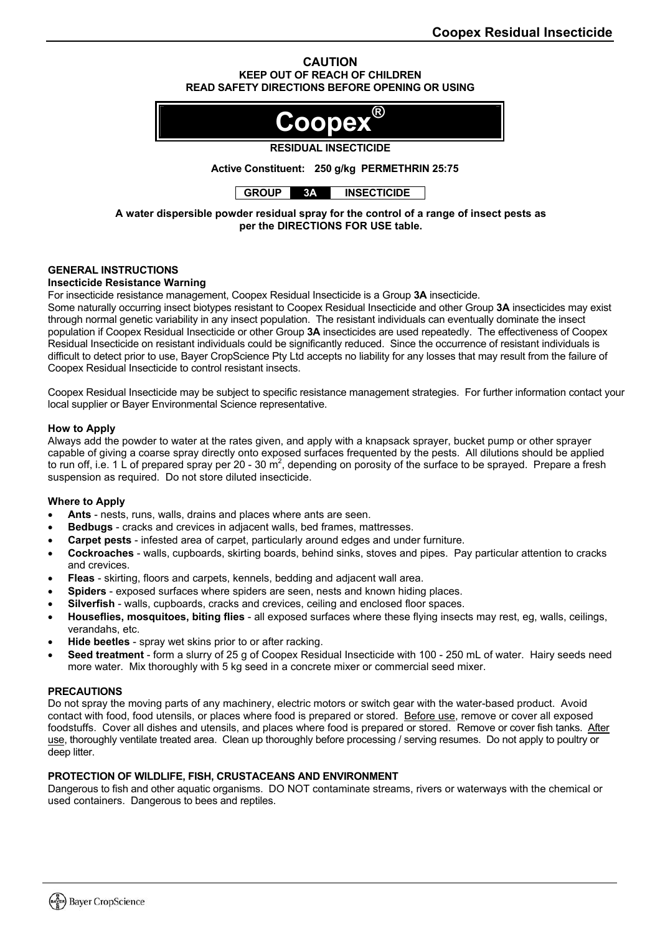### **CAUTION KEEP OUT OF REACH OF CHILDREN READ SAFETY DIRECTIONS BEFORE OPENING OR USING**



# **RESIDUAL INSECTICIDE**

**Active Constituent: 250 g/kg PERMETHRIN 25:75** 

**GROUP 3A INSECTICIDE** 

**A water dispersible powder residual spray for the control of a range of insect pests as per the DIRECTIONS FOR USE table.** 

# **GENERAL INSTRUCTIONS**

## **Insecticide Resistance Warning**

For insecticide resistance management, Coopex Residual Insecticide is a Group **3A** insecticide.

Some naturally occurring insect biotypes resistant to Coopex Residual Insecticide and other Group **3A** insecticides may exist through normal genetic variability in any insect population. The resistant individuals can eventually dominate the insect population if Coopex Residual Insecticide or other Group **3A** insecticides are used repeatedly. The effectiveness of Coopex Residual Insecticide on resistant individuals could be significantly reduced. Since the occurrence of resistant individuals is difficult to detect prior to use, Bayer CropScience Pty Ltd accepts no liability for any losses that may result from the failure of Coopex Residual Insecticide to control resistant insects.

Coopex Residual Insecticide may be subject to specific resistance management strategies. For further information contact your local supplier or Bayer Environmental Science representative.

## **How to Apply**

Always add the powder to water at the rates given, and apply with a knapsack sprayer, bucket pump or other sprayer capable of giving a coarse spray directly onto exposed surfaces frequented by the pests. All dilutions should be applied to run off, i.e. 1 L of prepared spray per 20 - 30 m<sup>2</sup>, depending on porosity of the surface to be sprayed. Prepare a fresh suspension as required. Do not store diluted insecticide.

# **Where to Apply**

- **Ants** nests, runs, walls, drains and places where ants are seen.
- **Bedbugs** cracks and crevices in adjacent walls, bed frames, mattresses.
- **Carpet pests** infested area of carpet, particularly around edges and under furniture.
- **Cockroaches** walls, cupboards, skirting boards, behind sinks, stoves and pipes. Pay particular attention to cracks and crevices.
- **Fleas** skirting, floors and carpets, kennels, bedding and adjacent wall area.
- **Spiders**  exposed surfaces where spiders are seen, nests and known hiding places.
- **Silverfish** walls, cupboards, cracks and crevices, ceiling and enclosed floor spaces.
- **Houseflies, mosquitoes, biting flies** all exposed surfaces where these flying insects may rest, eg, walls, ceilings, verandahs, etc.
- **Hide beetles** spray wet skins prior to or after racking.
- **Seed treatment** form a slurry of 25 g of Coopex Residual Insecticide with 100 250 mL of water. Hairy seeds need more water. Mix thoroughly with 5 kg seed in a concrete mixer or commercial seed mixer.

#### **PRECAUTIONS**

Do not spray the moving parts of any machinery, electric motors or switch gear with the water-based product. Avoid contact with food, food utensils, or places where food is prepared or stored. Before use, remove or cover all exposed foodstuffs. Cover all dishes and utensils, and places where food is prepared or stored. Remove or cover fish tanks. After use, thoroughly ventilate treated area. Clean up thoroughly before processing / serving resumes. Do not apply to poultry or deep litter.

#### **PROTECTION OF WILDLIFE, FISH, CRUSTACEANS AND ENVIRONMENT**

Dangerous to fish and other aquatic organisms. DO NOT contaminate streams, rivers or waterways with the chemical or used containers. Dangerous to bees and reptiles.